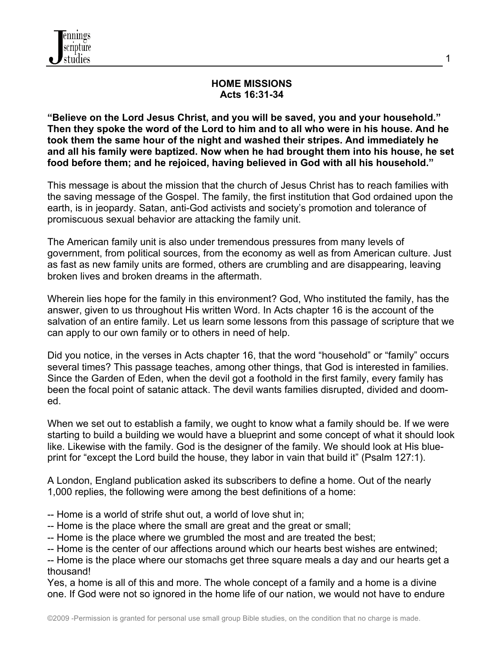

#### **HOME MISSIONS Acts 16:31-34**

**"Believe on the Lord Jesus Christ, and you will be saved, you and your household." Then they spoke the word of the Lord to him and to all who were in his house. And he took them the same hour of the night and washed their stripes. And immediately he and all his family were baptized. Now when he had brought them into his house, he set food before them; and he rejoiced, having believed in God with all his household."**

This message is about the mission that the church of Jesus Christ has to reach families with the saving message of the Gospel. The family, the first institution that God ordained upon the earth, is in jeopardy. Satan, anti-God activists and society's promotion and tolerance of promiscuous sexual behavior are attacking the family unit.

The American family unit is also under tremendous pressures from many levels of government, from political sources, from the economy as well as from American culture. Just as fast as new family units are formed, others are crumbling and are disappearing, leaving broken lives and broken dreams in the aftermath.

Wherein lies hope for the family in this environment? God, Who instituted the family, has the answer, given to us throughout His written Word. In Acts chapter 16 is the account of the salvation of an entire family. Let us learn some lessons from this passage of scripture that we can apply to our own family or to others in need of help.

Did you notice, in the verses in Acts chapter 16, that the word "household" or "family" occurs several times? This passage teaches, among other things, that God is interested in families. Since the Garden of Eden, when the devil got a foothold in the first family, every family has been the focal point of satanic attack. The devil wants families disrupted, divided and doomed.

When we set out to establish a family, we ought to know what a family should be. If we were starting to build a building we would have a blueprint and some concept of what it should look like. Likewise with the family. God is the designer of the family. We should look at His blueprint for "except the Lord build the house, they labor in vain that build it" (Psalm 127:1).

A London, England publication asked its subscribers to define a home. Out of the nearly 1,000 replies, the following were among the best definitions of a home:

- -- Home is a world of strife shut out, a world of love shut in;
- -- Home is the place where the small are great and the great or small;
- -- Home is the place where we grumbled the most and are treated the best;
- -- Home is the center of our affections around which our hearts best wishes are entwined;

-- Home is the place where our stomachs get three square meals a day and our hearts get a thousand!

Yes, a home is all of this and more. The whole concept of a family and a home is a divine one. If God were not so ignored in the home life of our nation, we would not have to endure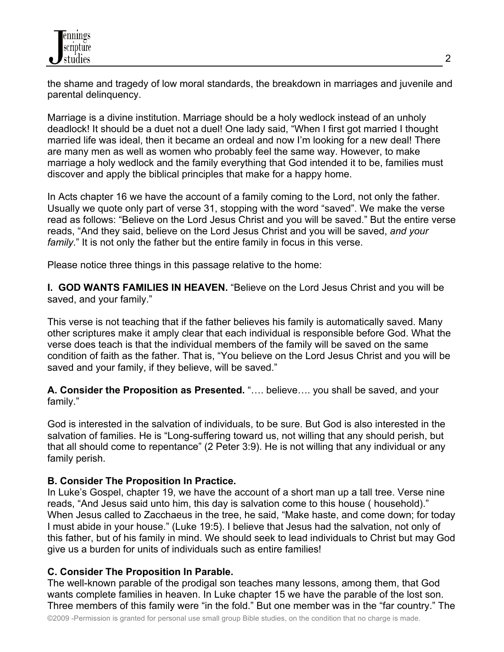the shame and tragedy of low moral standards, the breakdown in marriages and juvenile and parental delinquency.

Marriage is a divine institution. Marriage should be a holy wedlock instead of an unholy deadlock! It should be a duet not a duel! One lady said, "When I first got married I thought married life was ideal, then it became an ordeal and now I'm looking for a new deal! There are many men as well as women who probably feel the same way. However, to make marriage a holy wedlock and the family everything that God intended it to be, families must discover and apply the biblical principles that make for a happy home.

In Acts chapter 16 we have the account of a family coming to the Lord, not only the father. Usually we quote only part of verse 31, stopping with the word "saved". We make the verse read as follows: "Believe on the Lord Jesus Christ and you will be saved." But the entire verse reads, "And they said, believe on the Lord Jesus Christ and you will be saved, *and your family*." It is not only the father but the entire family in focus in this verse.

Please notice three things in this passage relative to the home:

**I. GOD WANTS FAMILIES IN HEAVEN.** "Believe on the Lord Jesus Christ and you will be saved, and your family."

This verse is not teaching that if the father believes his family is automatically saved. Many other scriptures make it amply clear that each individual is responsible before God. What the verse does teach is that the individual members of the family will be saved on the same condition of faith as the father. That is, "You believe on the Lord Jesus Christ and you will be saved and your family, if they believe, will be saved."

**A. Consider the Proposition as Presented.** "…. believe…. you shall be saved, and your family."

God is interested in the salvation of individuals, to be sure. But God is also interested in the salvation of families. He is "Long-suffering toward us, not willing that any should perish, but that all should come to repentance" (2 Peter 3:9). He is not willing that any individual or any family perish.

# **B. Consider The Proposition In Practice.**

In Luke's Gospel, chapter 19, we have the account of a short man up a tall tree. Verse nine reads, "And Jesus said unto him, this day is salvation come to this house ( household)." When Jesus called to Zacchaeus in the tree, he said, "Make haste, and come down; for today I must abide in your house." (Luke 19:5). I believe that Jesus had the salvation, not only of this father, but of his family in mind. We should seek to lead individuals to Christ but may God give us a burden for units of individuals such as entire families!

### **C. Consider The Proposition In Parable.**

The well-known parable of the prodigal son teaches many lessons, among them, that God wants complete families in heaven. In Luke chapter 15 we have the parable of the lost son. Three members of this family were "in the fold." But one member was in the "far country." The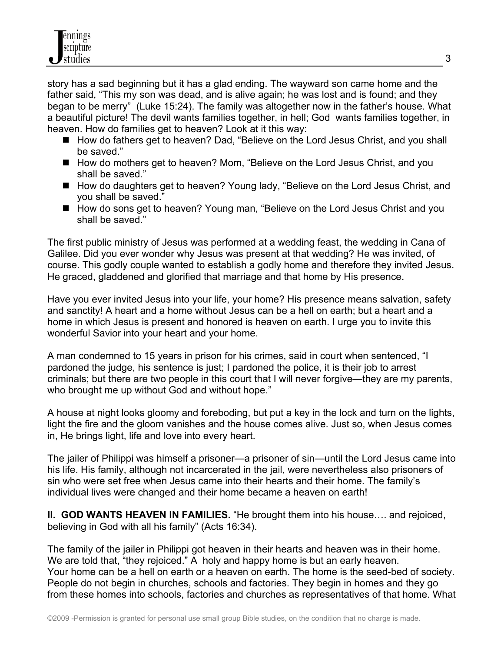story has a sad beginning but it has a glad ending. The wayward son came home and the father said, "This my son was dead, and is alive again; he was lost and is found; and they began to be merry" (Luke 15:24). The family was altogether now in the father's house. What a beautiful picture! The devil wants families together, in hell; God wants families together, in heaven. How do families get to heaven? Look at it this way:

- How do fathers get to heaven? Dad, "Believe on the Lord Jesus Christ, and you shall be saved."
- How do mothers get to heaven? Mom, "Believe on the Lord Jesus Christ, and you shall be saved."
- How do daughters get to heaven? Young lady, "Believe on the Lord Jesus Christ, and you shall be saved."
- How do sons get to heaven? Young man, "Believe on the Lord Jesus Christ and you shall be saved."

The first public ministry of Jesus was performed at a wedding feast, the wedding in Cana of Galilee. Did you ever wonder why Jesus was present at that wedding? He was invited, of course. This godly couple wanted to establish a godly home and therefore they invited Jesus. He graced, gladdened and glorified that marriage and that home by His presence.

Have you ever invited Jesus into your life, your home? His presence means salvation, safety and sanctity! A heart and a home without Jesus can be a hell on earth; but a heart and a home in which Jesus is present and honored is heaven on earth. I urge you to invite this wonderful Savior into your heart and your home.

A man condemned to 15 years in prison for his crimes, said in court when sentenced, "I pardoned the judge, his sentence is just; I pardoned the police, it is their job to arrest criminals; but there are two people in this court that I will never forgive—they are my parents, who brought me up without God and without hope."

A house at night looks gloomy and foreboding, but put a key in the lock and turn on the lights, light the fire and the gloom vanishes and the house comes alive. Just so, when Jesus comes in, He brings light, life and love into every heart.

The jailer of Philippi was himself a prisoner—a prisoner of sin—until the Lord Jesus came into his life. His family, although not incarcerated in the jail, were nevertheless also prisoners of sin who were set free when Jesus came into their hearts and their home. The family's individual lives were changed and their home became a heaven on earth!

**II. GOD WANTS HEAVEN IN FAMILIES.** "He brought them into his house…. and rejoiced, believing in God with all his family" (Acts 16:34).

The family of the jailer in Philippi got heaven in their hearts and heaven was in their home. We are told that, "they rejoiced." A holy and happy home is but an early heaven. Your home can be a hell on earth or a heaven on earth. The home is the seed-bed of society. People do not begin in churches, schools and factories. They begin in homes and they go from these homes into schools, factories and churches as representatives of that home. What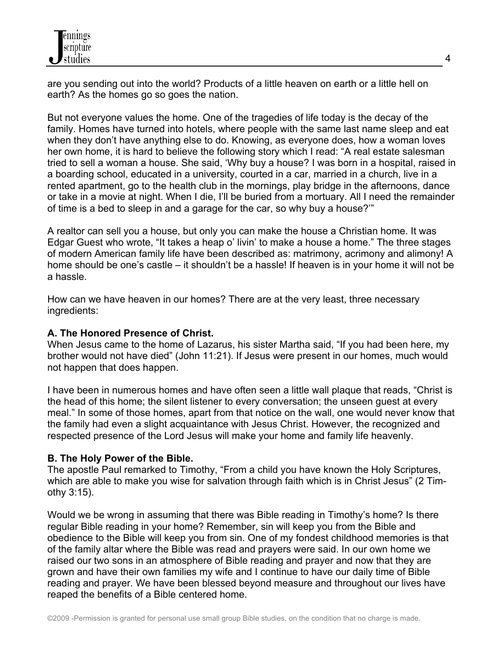are you sending out into the world? Products of a little heaven on earth or a little hell on earth? As the homes go so goes the nation.

But not everyone values the home. One of the tragedies of life today is the decay of the family. Homes have turned into hotels, where people with the same last name sleep and eat when they don't have anything else to do. Knowing, as everyone does, how a woman loves her own home, it is hard to believe the following story which I read: "A real estate salesman tried to sell a woman a house. She said, 'Why buy a house? I was born in a hospital, raised in a boarding school, educated in a university, courted in a car, married in a church, live in a rented apartment, go to the health club in the mornings, play bridge in the afternoons, dance or take in a movie at night. When I die, I'll be buried from a mortuary. All I need the remainder of time is a bed to sleep in and a garage for the car, so why buy a house?'"

A realtor can sell you a house, but only you can make the house a Christian home. It was Edgar Guest who wrote, "It takes a heap o' livin' to make a house a home." The three stages of modern American family life have been described as: matrimony, acrimony and alimony! A home should be one's castle – it shouldn't be a hassle! If heaven is in your home it will not be a hassle.

How can we have heaven in our homes? There are at the very least, three necessary ingredients:

### **A. The Honored Presence of Christ.**

When Jesus came to the home of Lazarus, his sister Martha said, "If you had been here, my brother would not have died" (John 11:21). If Jesus were present in our homes, much would not happen that does happen.

I have been in numerous homes and have often seen a little wall plaque that reads, "Christ is the head of this home; the silent listener to every conversation; the unseen guest at every meal." In some of those homes, apart from that notice on the wall, one would never know that the family had even a slight acquaintance with Jesus Christ. However, the recognized and respected presence of the Lord Jesus will make your home and family life heavenly.

# **B. The Holy Power of the Bible.**

The apostle Paul remarked to Timothy, "From a child you have known the Holy Scriptures, which are able to make you wise for salvation through faith which is in Christ Jesus" (2 Timothy 3:15).

Would we be wrong in assuming that there was Bible reading in Timothy's home? Is there regular Bible reading in your home? Remember, sin will keep you from the Bible and obedience to the Bible will keep you from sin. One of my fondest childhood memories is that of the family altar where the Bible was read and prayers were said. In our own home we raised our two sons in an atmosphere of Bible reading and prayer and now that they are grown and have their own families my wife and I continue to have our daily time of Bible reading and prayer. We have been blessed beyond measure and throughout our lives have reaped the benefits of a Bible centered home.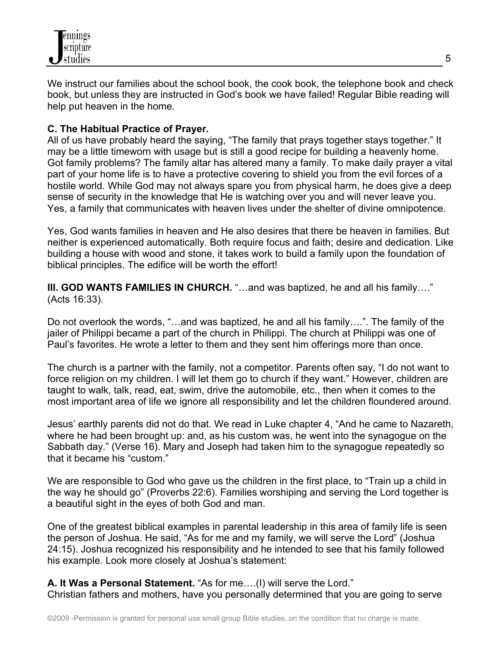

We instruct our families about the school book, the cook book, the telephone book and check book, but unless they are instructed in God's book we have failed! Regular Bible reading will help put heaven in the home.

#### **C. The Habitual Practice of Prayer.**

All of us have probably heard the saying, "The family that prays together stays together." It may be a little timeworn with usage but is still a good recipe for building a heavenly home. Got family problems? The family altar has altered many a family. To make daily prayer a vital part of your home life is to have a protective covering to shield you from the evil forces of a hostile world. While God may not always spare you from physical harm, he does give a deep sense of security in the knowledge that He is watching over you and will never leave you. Yes, a family that communicates with heaven lives under the shelter of divine omnipotence.

Yes, God wants families in heaven and He also desires that there be heaven in families. But neither is experienced automatically. Both require focus and faith; desire and dedication. Like building a house with wood and stone, it takes work to build a family upon the foundation of biblical principles. The edifice will be worth the effort!

**III. GOD WANTS FAMILIES IN CHURCH.** "…and was baptized, he and all his family…." (Acts 16:33).

Do not overlook the words, "…and was baptized, he and all his family….". The family of the jailer of Philippi became a part of the church in Philippi. The church at Philippi was one of Paul's favorites. He wrote a letter to them and they sent him offerings more than once.

The church is a partner with the family, not a competitor. Parents often say, "I do not want to force religion on my children. I will let them go to church if they want." However, children are taught to walk, talk, read, eat, swim, drive the automobile, etc., then when it comes to the most important area of life we ignore all responsibility and let the children floundered around.

Jesus' earthly parents did not do that. We read in Luke chapter 4, "And he came to Nazareth, where he had been brought up: and, as his custom was, he went into the synagogue on the Sabbath day." (Verse 16). Mary and Joseph had taken him to the synagogue repeatedly so that it became his "custom."

We are responsible to God who gave us the children in the first place, to "Train up a child in the way he should go" (Proverbs 22:6). Families worshiping and serving the Lord together is a beautiful sight in the eyes of both God and man.

One of the greatest biblical examples in parental leadership in this area of family life is seen the person of Joshua. He said, "As for me and my family, we will serve the Lord" (Joshua 24:15). Joshua recognized his responsibility and he intended to see that his family followed his example. Look more closely at Joshua's statement:

**A. It Was a Personal Statement.** "As for me….(I) will serve the Lord." Christian fathers and mothers, have you personally determined that you are going to serve